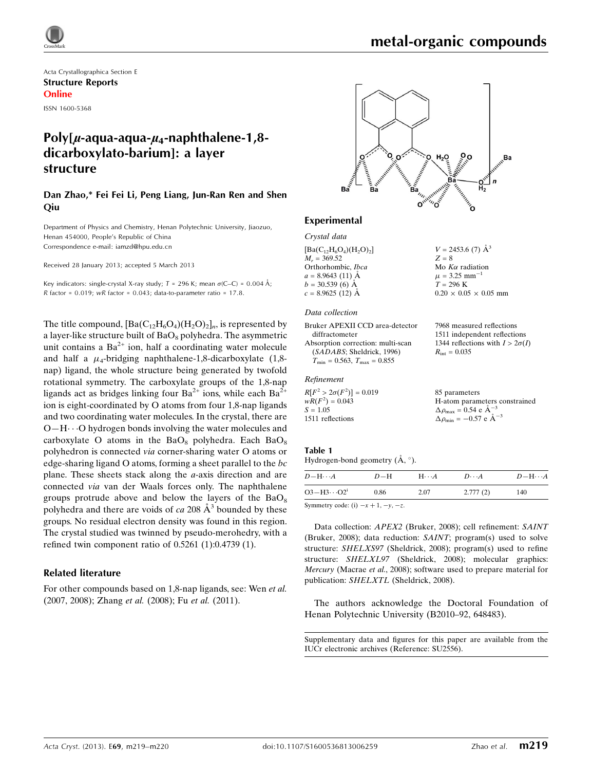

# metal-organic compounds

 $V = 2453.6$  (7)  $\AA^3$ 

Mo  $K\alpha$  radiation  $\mu = 3.25$  mm<sup>-1</sup>  $T = 296$  K

 $R_{\text{int}} = 0.035$ 

85 parameters

 $\Delta \rho_{\text{max}} = 0.54 \text{ e A}^{-3}$  $\Delta \rho_{\text{min}} = -0.57 \text{ e A}^{-3}$ 

 $0.20 \times 0.05 \times 0.05$  mm

7968 measured reflections 1511 independent reflections 1344 reflections with  $I > 2\sigma(I)$ 

H-atom parameters constrained

 $Z = 8$ 

Acta Crystallographica Section E Structure Reports Online ISSN 1600-5368

# Poly[ $\mu$ -aqua-aqua- $\mu$ <sub>4</sub>-naphthalene-1,8dicarboxylato-barium]: a layer structure

Dan Zhao,\* Fei Fei Li, Peng Liang, Jun-Ran Ren and Shen Qiu

Department of Physics and Chemistry, Henan Polytechnic University, Jiaozuo, Henan 454000, People's Republic of China Correspondence e-mail: [iamzd@hpu.edu.cn](https://scripts.iucr.org/cgi-bin/cr.cgi?rm=pdfbb&cnor=su2556&bbid=BB8)

Received 28 January 2013; accepted 5 March 2013

Key indicators: single-crystal X-ray study;  $T = 296$  K; mean  $\sigma$ (C–C) = 0.004 Å; R factor =  $0.019$ ; wR factor =  $0.043$ ; data-to-parameter ratio =  $17.8$ .

The title compound,  $[Ba(C_{12}H_6O_4)(H_2O)_2]_n$ , is represented by a layer-like structure built of  $BaO_8$  polyhedra. The asymmetric unit contains a  $Ba^{2+}$  ion, half a coordinating water molecule and half a  $\mu_4$ -bridging naphthalene-1,8-dicarboxylate (1,8nap) ligand, the whole structure being generated by twofold rotational symmetry. The carboxylate groups of the 1,8-nap ligands act as bridges linking four  $Ba^{2+}$  ions, while each  $Ba^{2+}$ ion is eight-coordinated by O atoms from four 1,8-nap ligands and two coordinating water molecules. In the crystal, there are O-H··· O hydrogen bonds involving the water molecules and carboxylate O atoms in the  $BaO_8$  polyhedra. Each  $BaO_8$ polyhedron is connected via corner-sharing water O atoms or edge-sharing ligand O atoms, forming a sheet parallel to the bc plane. These sheets stack along the a-axis direction and are connected via van der Waals forces only. The naphthalene groups protrude above and below the layers of the  $BaO_8$ polyhedra and there are voids of ca 208  $A<sup>3</sup>$  bounded by these groups. No residual electron density was found in this region. The crystal studied was twinned by pseudo-merohedry, with a refined twin component ratio of 0.5261 (1):0.4739 (1).

#### Related literature

For other compounds based on 1,8-nap ligands, see: Wen et al. (2007, 2008); Zhang et al. (2008); Fu et al. (2011).



#### Experimental

Crystal data  $[Ba(C_{12}H_6O_4)(H_2O)_2]$  $M_r = 369.52$ Orthorhombic, Ibca  $a = 8.9643(11)$   $\AA$  $b = 30.539(6)$  Å  $c = 8.9625(12)$  Å

#### Data collection

Bruker APEXII CCD area-detector diffractometer Absorption correction: multi-scan

(SADABS; Sheldrick, 1996)  $T_{\text{min}} = 0.563, T_{\text{max}} = 0.855$ 

#### Refinement

 $R[F^2 > 2\sigma(F^2)] = 0.019$  $wR(F^2) = 0.043$  $S = 1.05$ 1511 reflections

#### Table 1

| Hydrogen-bond geometry $(A, \circ)$ . |  |  |
|---------------------------------------|--|--|

 $D - H \cdots$  $D-H$ -- $A$   $D \cdots$  $A$   $D-M \cdots A$  $O3 - H3 \cdots$ 0.86 2.07 2.777 (2) 140

Symmetry code: (i)  $-x + 1$ ,  $-y$ ,  $-z$ .

Data collection: APEX2 (Bruker, 2008); cell refinement: SAINT (Bruker, 2008); data reduction: SAINT; program(s) used to solve structure: SHELXS97 (Sheldrick, 2008); program(s) used to refine structure: SHELXL97 (Sheldrick, 2008); molecular graphics: Mercury (Macrae et al., 2008); software used to prepare material for publication: SHELXTL (Sheldrick, 2008).

The authors acknowledge the Doctoral Foundation of Henan Polytechnic University (B2010–92, 648483).

Supplementary data and figures for this paper are available from the IUCr electronic archives (Reference: SU2556).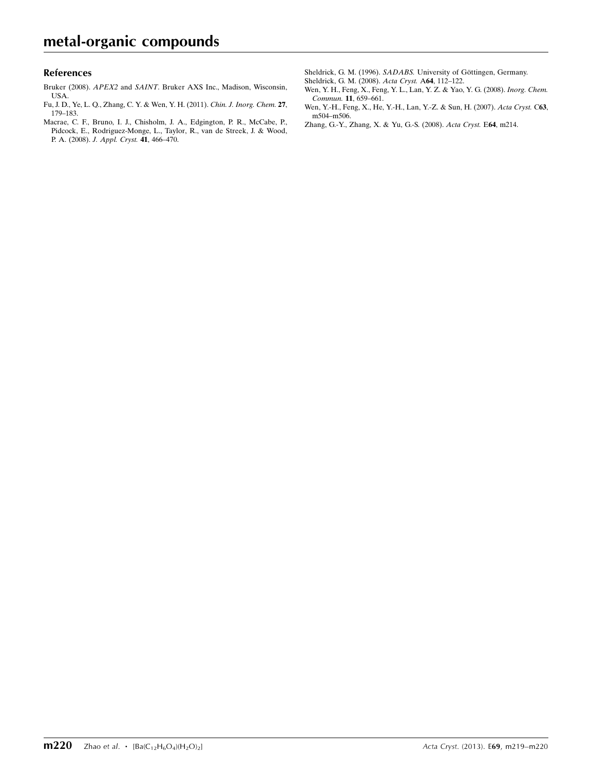#### References

- Bruker (2008). APEX2 and SAINT[. Bruker AXS Inc., Madison, Wisconsin,](https://scripts.iucr.org/cgi-bin/cr.cgi?rm=pdfbb&cnor=su2556&bbid=BB1) [USA.](https://scripts.iucr.org/cgi-bin/cr.cgi?rm=pdfbb&cnor=su2556&bbid=BB1)
- [Fu, J. D., Ye, L. Q., Zhang, C. Y. & Wen, Y. H. \(2011\).](https://scripts.iucr.org/cgi-bin/cr.cgi?rm=pdfbb&cnor=su2556&bbid=BB2) Chin. J. Inorg. Chem. 27, [179–183.](https://scripts.iucr.org/cgi-bin/cr.cgi?rm=pdfbb&cnor=su2556&bbid=BB2)
- [Macrae, C. F., Bruno, I. J., Chisholm, J. A., Edgington, P. R., McCabe, P.,](https://scripts.iucr.org/cgi-bin/cr.cgi?rm=pdfbb&cnor=su2556&bbid=BB3) [Pidcock, E., Rodriguez-Monge, L., Taylor, R., van de Streek, J. & Wood,](https://scripts.iucr.org/cgi-bin/cr.cgi?rm=pdfbb&cnor=su2556&bbid=BB3) P. A. (2008). [J. Appl. Cryst.](https://scripts.iucr.org/cgi-bin/cr.cgi?rm=pdfbb&cnor=su2556&bbid=BB3) 41, 466–470.

Sheldrick, G. M. (1996). SADABS. University of Göttingen, Germany.

- [Sheldrick, G. M. \(2008\).](https://scripts.iucr.org/cgi-bin/cr.cgi?rm=pdfbb&cnor=su2556&bbid=BB5) Acta Cryst. A64, 112–122.
- [Wen, Y. H., Feng, X., Feng, Y. L., Lan, Y. Z. & Yao, Y. G. \(2008\).](https://scripts.iucr.org/cgi-bin/cr.cgi?rm=pdfbb&cnor=su2556&bbid=BB6) Inorg. Chem. Commun. 11[, 659–661.](https://scripts.iucr.org/cgi-bin/cr.cgi?rm=pdfbb&cnor=su2556&bbid=BB6)
- [Wen, Y.-H., Feng, X., He, Y.-H., Lan, Y.-Z. & Sun, H. \(2007\).](https://scripts.iucr.org/cgi-bin/cr.cgi?rm=pdfbb&cnor=su2556&bbid=BB7) Acta Cryst. C63, [m504–m506.](https://scripts.iucr.org/cgi-bin/cr.cgi?rm=pdfbb&cnor=su2556&bbid=BB7)
- [Zhang, G.-Y., Zhang, X. & Yu, G.-S. \(2008\).](https://scripts.iucr.org/cgi-bin/cr.cgi?rm=pdfbb&cnor=su2556&bbid=BB8) Acta Cryst. E64, m214.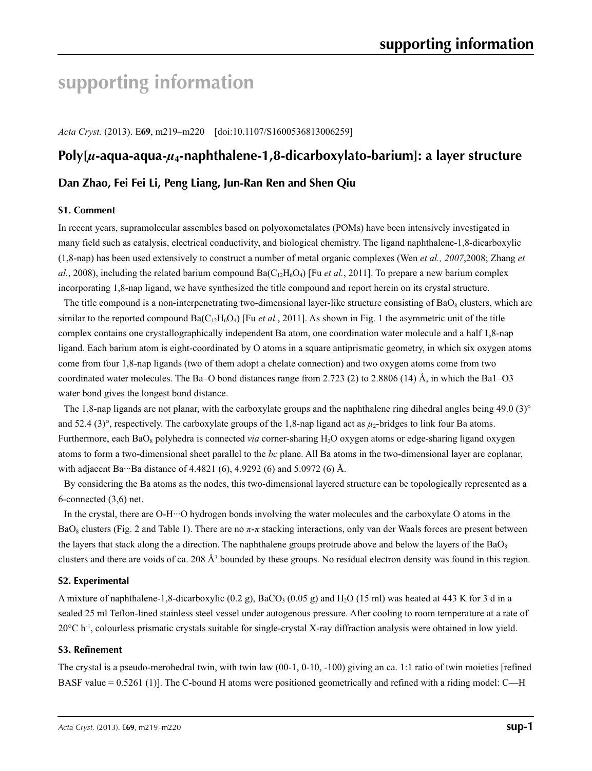# **supporting information**

*Acta Cryst.* (2013). E**69**, m219–m220 [doi:10.1107/S1600536813006259]

# **Poly[***µ***-aqua-aqua-***µ***4-naphthalene-1,8-dicarboxylato-barium]: a layer structure**

### **Dan Zhao, Fei Fei Li, Peng Liang, Jun-Ran Ren and Shen Qiu**

#### **S1. Comment**

In recent years, supramolecular assembles based on polyoxometalates (POMs) have been intensively investigated in many field such as catalysis, electrical conductivity, and biological chemistry. The ligand naphthalene-1,8-dicarboxylic (1,8-nap) has been used extensively to construct a number of metal organic complexes (Wen *et al., 2007*,2008; Zhang *et*   $al.$ , 2008), including the related barium compound Ba( $C_{12}H_6O_4$ ) [Fu *et al.*, 2011]. To prepare a new barium complex incorporating 1,8-nap ligand, we have synthesized the title compound and report herein on its crystal structure.

The title compound is a non-interpenetrating two-dimensional layer-like structure consisting of  $BaO_8$  clusters, which are similar to the reported compound  $Ba(C_{12}H_6O_4)$  [Fu *et al.*, 2011]. As shown in Fig. 1 the asymmetric unit of the title complex contains one crystallographically independent Ba atom, one coordination water molecule and a half 1,8-nap ligand. Each barium atom is eight-coordinated by O atoms in a square antiprismatic geometry, in which six oxygen atoms come from four 1,8-nap ligands (two of them adopt a chelate connection) and two oxygen atoms come from two coordinated water molecules. The Ba–O bond distances range from 2.723 (2) to 2.8806 (14) Å, in which the Ba1–O3 water bond gives the longest bond distance.

The 1,8-nap ligands are not planar, with the carboxylate groups and the naphthalene ring dihedral angles being 49.0 (3)° and 52.4 (3)<sup>°</sup>, respectively. The carboxylate groups of the 1,8-nap ligand act as  $\mu_2$ -bridges to link four Ba atoms. Furthermore, each BaO<sub>8</sub> polyhedra is connected *via* corner-sharing H<sub>2</sub>O oxygen atoms or edge-sharing ligand oxygen atoms to form a two-dimensional sheet parallel to the *bc* plane. All Ba atoms in the two-dimensional layer are coplanar, with adjacent Ba···Ba distance of 4.4821 (6), 4.9292 (6) and 5.0972 (6) Å.

By considering the Ba atoms as the nodes, this two-dimensional layered structure can be topologically represented as a 6-connected (3,6) net.

In the crystal, there are O-H···O hydrogen bonds involving the water molecules and the carboxylate O atoms in the BaO8 clusters (Fig. 2 and Table 1). There are no *π*-*π* stacking interactions, only van der Waals forces are present between the layers that stack along the a direction. The naphthalene groups protrude above and below the layers of the  $BaO<sub>8</sub>$ clusters and there are voids of ca. 208  $\AA$ <sup>3</sup> bounded by these groups. No residual electron density was found in this region.

#### **S2. Experimental**

A mixture of naphthalene-1,8-dicarboxylic (0.2 g), BaCO<sub>3</sub> (0.05 g) and H<sub>2</sub>O (15 ml) was heated at 443 K for 3 d in a sealed 25 ml Teflon-lined stainless steel vessel under autogenous pressure. After cooling to room temperature at a rate of 20°C h-1, colourless prismatic crystals suitable for single-crystal X-ray diffraction analysis were obtained in low yield.

#### **S3. Refinement**

The crystal is a pseudo-merohedral twin, with twin law (00-1, 0-10, -100) giving an ca. 1:1 ratio of twin moieties [refined BASF value = 0.5261 (1)]. The C-bound H atoms were positioned geometrically and refined with a riding model: C—H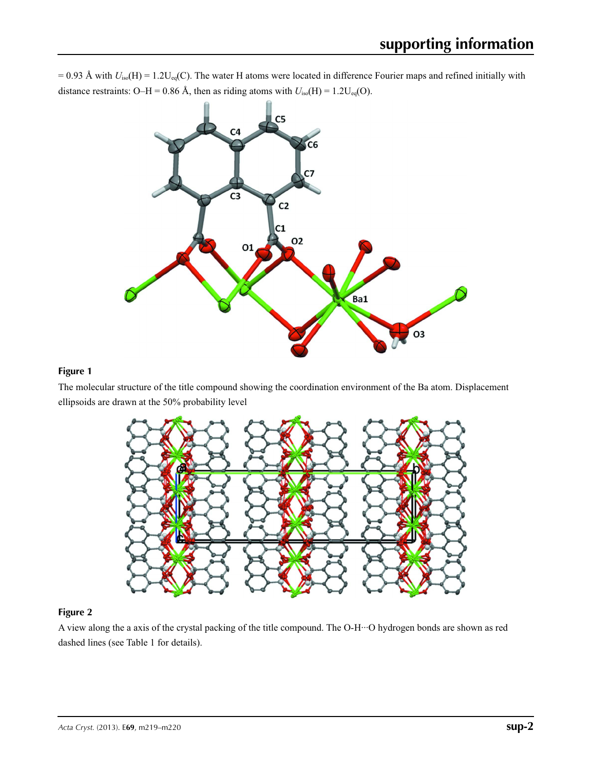$= 0.93$  Å with  $U_{iso}(H) = 1.2U_{eq}(C)$ . The water H atoms were located in difference Fourier maps and refined initially with distance restraints: O–H = 0.86 Å, then as riding atoms with  $U_{\text{iso}}(H) = 1.2U_{\text{eq}}(O)$ .



#### **Figure 1**

The molecular structure of the title compound showing the coordination environment of the Ba atom. Displacement ellipsoids are drawn at the 50% probability level



### **Figure 2**

A view along the a axis of the crystal packing of the title compound. The O-H···O hydrogen bonds are shown as red dashed lines (see Table 1 for details).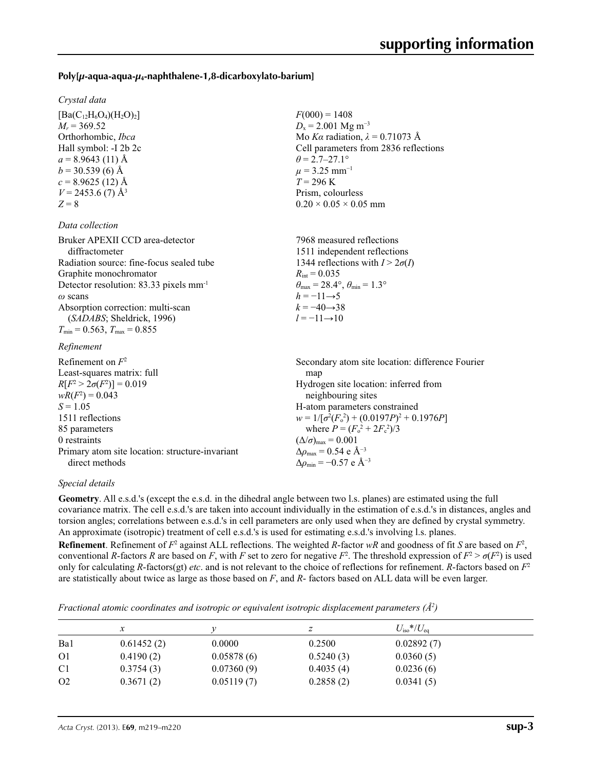#### **Poly[***µ***-aqua-aqua-***µ***4-naphthalene-1,8-dicarboxylato-barium]**

#### *Crystal data*

 $[Ba(C_{12}H_6O_4)(H_2O)_2]$  $M_r = 369.52$ Orthorhombic, *Ibca* Hall symbol: -I 2b 2c  $a = 8.9643(11)$  Å  $b = 30.539(6)$  Å  $c = 8.9625(12)$  Å  $V = 2453.6$  (7) Å<sup>3</sup>  $Z = 8$ 

#### *Data collection*

| Bruker APEXII CCD area-detector                     | 7968 measured reflections                                               |
|-----------------------------------------------------|-------------------------------------------------------------------------|
| diffractometer                                      | 1511 independent reflections                                            |
| Radiation source: fine-focus sealed tube            | 1344 reflections with $I > 2\sigma(I)$                                  |
| Graphite monochromator                              | $R_{\text{int}} = 0.035$                                                |
| Detector resolution: 83.33 pixels mm <sup>-1</sup>  | $\theta_{\text{max}} = 28.4^{\circ}, \theta_{\text{min}} = 1.3^{\circ}$ |
| $\omega$ scans                                      | $h = -11 \rightarrow 5$                                                 |
| Absorption correction: multi-scan                   | $k = -40 \rightarrow 38$                                                |
| (SADABS; Sheldrick, 1996)                           | $l = -11 \rightarrow 10$                                                |
| $T_{\text{min}} = 0.563$ , $T_{\text{max}} = 0.855$ |                                                                         |
| Rofinomont                                          |                                                                         |

 $F(000) = 1408$  $D_x = 2.001$  Mg m<sup>-3</sup>

 $\theta = 2.7 - 27.1$ °  $\mu$  = 3.25 mm<sup>-1</sup>  $T = 296 \text{ K}$ Prism, colourless  $0.20 \times 0.05 \times 0.05$  mm

Mo *Kα* radiation, *λ* = 0.71073 Å Cell parameters from 2836 reflections

#### *Refinement*

| Refinement on $F^2$                             | Secondary atom site location: difference Fourier   |
|-------------------------------------------------|----------------------------------------------------|
| Least-squares matrix: full                      | map                                                |
| $R[F^2 > 2\sigma(F^2)] = 0.019$                 | Hydrogen site location: inferred from              |
| $wR(F^2) = 0.043$                               | neighbouring sites                                 |
| $S = 1.05$                                      | H-atom parameters constrained                      |
| 1511 reflections                                | $w = 1/[\sigma^2(F_0^2) + (0.0197P)^2 + 0.1976P]$  |
| 85 parameters                                   | where $P = (F_o^2 + 2F_c^2)/3$                     |
| 0 restraints                                    | $(\Delta/\sigma)_{\text{max}} = 0.001$             |
| Primary atom site location: structure-invariant | $\Delta\rho_{\text{max}} = 0.54$ e Å <sup>-3</sup> |
| direct methods                                  | $\Delta\rho_{\rm min} = -0.57$ e Å <sup>-3</sup>   |

#### *Special details*

**Geometry**. All e.s.d.'s (except the e.s.d. in the dihedral angle between two l.s. planes) are estimated using the full covariance matrix. The cell e.s.d.'s are taken into account individually in the estimation of e.s.d.'s in distances, angles and torsion angles; correlations between e.s.d.'s in cell parameters are only used when they are defined by crystal symmetry. An approximate (isotropic) treatment of cell e.s.d.'s is used for estimating e.s.d.'s involving l.s. planes.

**Refinement**. Refinement of  $F^2$  against ALL reflections. The weighted *R*-factor  $wR$  and goodness of fit *S* are based on  $F^2$ , conventional *R*-factors *R* are based on *F*, with *F* set to zero for negative  $F^2$ . The threshold expression of  $F^2 > \sigma(F^2)$  is used only for calculating *R*-factors(gt) *etc*. and is not relevant to the choice of reflections for refinement. *R*-factors based on *F*<sup>2</sup> are statistically about twice as large as those based on *F*, and *R*- factors based on ALL data will be even larger.

*Fractional atomic coordinates and isotropic or equivalent isotropic displacement parameters (Å<sup>2</sup>)* 

|                |            |            |           | $U_{\rm iso}*/U_{\rm eq}$ |  |
|----------------|------------|------------|-----------|---------------------------|--|
| Ba1            | 0.61452(2) | 0.0000     | 0.2500    | 0.02892(7)                |  |
| O <sub>1</sub> | 0.4190(2)  | 0.05878(6) | 0.5240(3) | 0.0360(5)                 |  |
| C <sub>1</sub> | 0.3754(3)  | 0.07360(9) | 0.4035(4) | 0.0236(6)                 |  |
| O <sub>2</sub> | 0.3671(2)  | 0.05119(7) | 0.2858(2) | 0.0341(5)                 |  |
|                |            |            |           |                           |  |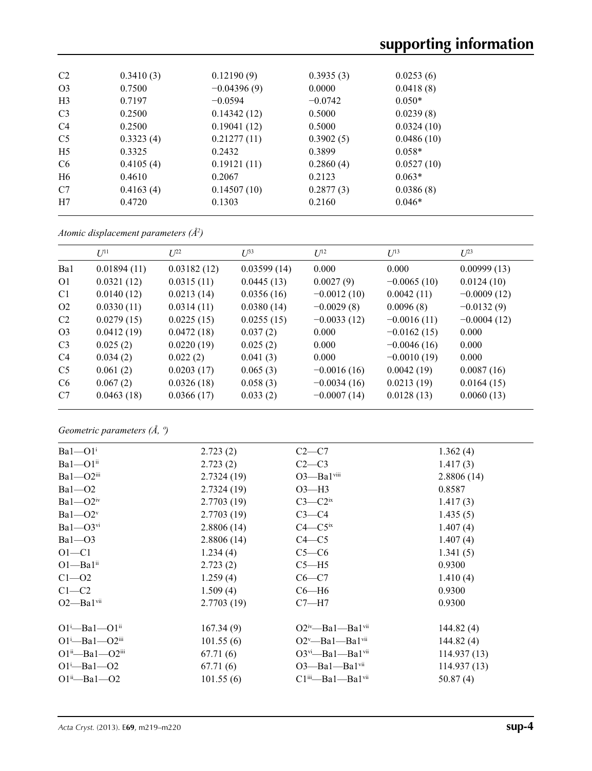| C <sub>2</sub> | 0.3410(3) | 0.12190(9)    | 0.3935(3) | 0.0253(6)  |  |
|----------------|-----------|---------------|-----------|------------|--|
| O <sub>3</sub> | 0.7500    | $-0.04396(9)$ | 0.0000    | 0.0418(8)  |  |
| H <sub>3</sub> | 0.7197    | $-0.0594$     | $-0.0742$ | $0.050*$   |  |
| C <sub>3</sub> | 0.2500    | 0.14342(12)   | 0.5000    | 0.0239(8)  |  |
| C <sub>4</sub> | 0.2500    | 0.19041(12)   | 0.5000    | 0.0324(10) |  |
| C <sub>5</sub> | 0.3323(4) | 0.21277(11)   | 0.3902(5) | 0.0486(10) |  |
| H <sub>5</sub> | 0.3325    | 0.2432        | 0.3899    | $0.058*$   |  |
| C <sub>6</sub> | 0.4105(4) | 0.19121(11)   | 0.2860(4) | 0.0527(10) |  |
| H <sub>6</sub> | 0.4610    | 0.2067        | 0.2123    | $0.063*$   |  |
| C7             | 0.4163(4) | 0.14507(10)   | 0.2877(3) | 0.0386(8)  |  |
| H7             | 0.4720    | 0.1303        | 0.2160    | $0.046*$   |  |

*Atomic displacement parameters (Å2 )*

|                | $U^{11}$    | $U^{22}$    | $U^{33}$    | $U^{12}$      | $U^{13}$      | $U^{23}$      |
|----------------|-------------|-------------|-------------|---------------|---------------|---------------|
| Ba1            | 0.01894(11) | 0.03182(12) | 0.03599(14) | 0.000         | 0.000         | 0.00999(13)   |
| O1             | 0.0321(12)  | 0.0315(11)  | 0.0445(13)  | 0.0027(9)     | $-0.0065(10)$ | 0.0124(10)    |
| C1             | 0.0140(12)  | 0.0213(14)  | 0.0356(16)  | $-0.0012(10)$ | 0.0042(11)    | $-0.0009(12)$ |
| O <sub>2</sub> | 0.0330(11)  | 0.0314(11)  | 0.0380(14)  | $-0.0029(8)$  | 0.0096(8)     | $-0.0132(9)$  |
| C <sub>2</sub> | 0.0279(15)  | 0.0225(15)  | 0.0255(15)  | $-0.0033(12)$ | $-0.0016(11)$ | $-0.0004(12)$ |
| O <sub>3</sub> | 0.0412(19)  | 0.0472(18)  | 0.037(2)    | 0.000         | $-0.0162(15)$ | 0.000         |
| C <sub>3</sub> | 0.025(2)    | 0.0220(19)  | 0.025(2)    | 0.000         | $-0.0046(16)$ | 0.000         |
| C <sub>4</sub> | 0.034(2)    | 0.022(2)    | 0.041(3)    | 0.000         | $-0.0010(19)$ | 0.000         |
| C <sub>5</sub> | 0.061(2)    | 0.0203(17)  | 0.065(3)    | $-0.0016(16)$ | 0.0042(19)    | 0.0087(16)    |
| C <sub>6</sub> | 0.067(2)    | 0.0326(18)  | 0.058(3)    | $-0.0034(16)$ | 0.0213(19)    | 0.0164(15)    |
| C7             | 0.0463(18)  | 0.0366(17)  | 0.033(2)    | $-0.0007(14)$ | 0.0128(13)    | 0.0060(13)    |
|                |             |             |             |               |               |               |

*Geometric parameters (Å, º)*

| $Ba1 - O1$ <sup>i</sup>                     | 2.723(2)   | $C2-C7$                                    | 1.362(4)    |
|---------------------------------------------|------------|--------------------------------------------|-------------|
| $Ba1 - O1ii$                                | 2.723(2)   | $C2-C3$                                    | 1.417(3)    |
| $Ba1 - O2$ <sup>iii</sup>                   | 2.7324(19) | $O3$ —Ba $1$ viii                          | 2.8806(14)  |
| $Ba1 - O2$                                  | 2.7324(19) | $O3-H3$                                    | 0.8587      |
| $Ba1 - O2iv$                                | 2.7703(19) | $C3-C2ix$                                  | 1.417(3)    |
| $Ba1 - O2v$                                 | 2.7703(19) | $C3-C4$                                    | 1.435(5)    |
| $Ba1 - O3$ <sup>vi</sup>                    | 2.8806(14) | $C4 - C5$ <sup>ix</sup>                    | 1.407(4)    |
| $Ba1 - O3$                                  | 2.8806(14) | $C4 - C5$                                  | 1.407(4)    |
| $O1 - C1$                                   | 1.234(4)   | $C5-C6$                                    | 1.341(5)    |
| $O1 - Ba1$ <sup>ii</sup>                    | 2.723(2)   | $C5 - H5$                                  | 0.9300      |
| $C1 - 02$                                   | 1.259(4)   | $C6-C7$                                    | 1.410(4)    |
| $C1-C2$                                     | 1.509(4)   | $C6 - H6$                                  | 0.9300      |
| $O2$ —Bal $vii$                             | 2.7703(19) | $C7 - H7$                                  | 0.9300      |
| $O1^i$ —Ba $1$ — $O1^i$                     | 167.34(9)  | $O2^{iv}$ —Bal—Bal <sup>vii</sup>          | 144.82(4)   |
| $O1^{\text{i}}$ -Ba $1$ - $O2^{\text{iii}}$ | 101.55(6)  | $O2^v$ —Bal—Bal <sup>vii</sup>             | 144.82(4)   |
| $O1^{ii}$ —Ba $1$ — $O2^{iii}$              | 67.71(6)   | $O3$ <sup>vi</sup> —Ba1—Ba1 <sup>vii</sup> | 114.937(13) |
| $O1 - Ba1 - O2$                             | 67.71(6)   | $O3$ —Bal—Bal <sup>vii</sup>               | 114.937(13) |
| $O1^{ii}$ —Ba $1$ —O2                       | 101.55(6)  | $Cliii$ -Bal--Bal <sup>vii</sup>           | 50.87(4)    |
|                                             |            |                                            |             |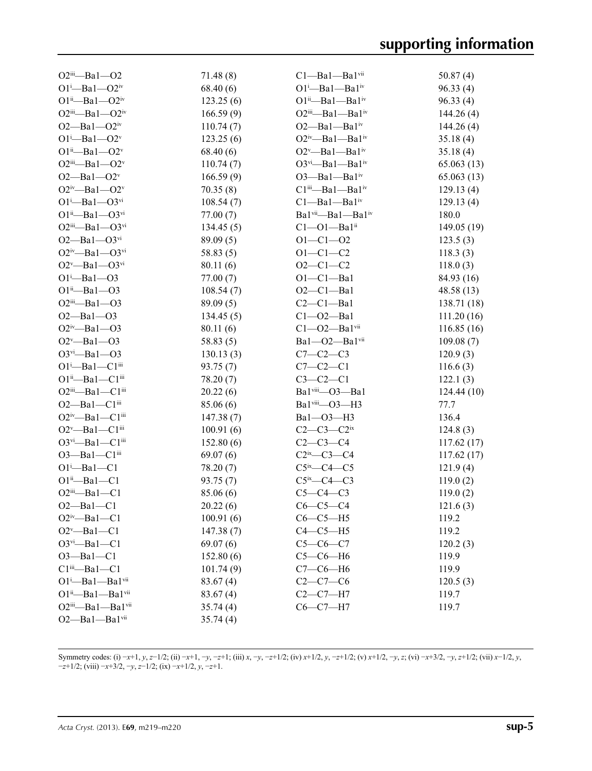| $O2$ iii—Ba1— $O2$                        | 71.48(8)  | $Cl$ —Ba $1$ —Ba $1$ <sup>vii</sup>       | 50.87(4)    |
|-------------------------------------------|-----------|-------------------------------------------|-------------|
| $O1^{i}$ -Ba $1$ - $O2^{iv}$              | 68.40(6)  | $O1^i$ —Ba $1^i$ —Ba $1^iv$               | 96.33(4)    |
| $O1^{ii}$ —Ba $1$ — $O2^{iv}$             | 123.25(6) | $O1^{ii}$ —Ba $1$ —Ba $1^{iv}$            | 96.33(4)    |
| $O2^{iii}$ —Bal— $O2^{iv}$                | 166.59(9) | $O2^{iii}$ —Ba $1$ —Ba $1^{iv}$           | 144.26(4)   |
| $O2 - Ba1 - O2$ <sup>iv</sup>             | 110.74(7) | $O2$ —Ba $1$ —Ba $1$ <sup>iv</sup>        | 144.26(4)   |
| $O1^i$ -Ba $1$ - $O2^v$                   | 123.25(6) | $O2^{iv}$ —Bal—Bal <sup>iv</sup>          | 35.18(4)    |
| $O1^{ii}$ —Ba $1$ — $O2^{v}$              | 68.40(6)  | $O2^v$ —Bal—Bal <sup>iv</sup>             | 35.18(4)    |
| $O2^{iii}$ -Bal- $O2^v$                   | 110.74(7) | $O3^{vi}$ —Bal—Bal <sup>iv</sup>          | 65.063(13)  |
| $O2 - Ba1 - O2v$                          | 166.59(9) | $O3$ —Ba $1$ —Ba $1$ <sup>iv</sup>        | 65.063(13)  |
| $O2^{iv}$ -Bal- $O2^v$                    | 70.35(8)  | $Cliii$ -Bal-Bal <sup>iv</sup>            | 129.13(4)   |
| $O1^{i}$ -Ba $1$ - $O3^{vi}$              | 108.54(7) | $C1 - Ba1 - Ba1$ <sup>iv</sup>            | 129.13(4)   |
| $O1^{ii}$ —Ba $1$ — $O3^{vi}$             | 77.00 (7) | Bal <sup>vii</sup> -Bal-Bal <sup>iv</sup> | 180.0       |
| $O2^{iii}$ —Bal— $O3^{vi}$                | 134.45(5) | $Cl$ — $O$ l—Bal <sup>ii</sup>            | 149.05(19)  |
| $O2 - Ba1 - O3$ <sup>vi</sup>             | 89.09(5)  | $O1 - C1 - O2$                            | 123.5(3)    |
| $O2^{iv}$ —Ba1— $O3^{vi}$                 | 58.83(5)  | $O1 - C1 - C2$                            | 118.3(3)    |
| $O2^v$ —Ba1— $O3$ <sup>vi</sup>           | 80.11 (6) | $O2 - C1 - C2$                            | 118.0(3)    |
| $O1^i$ —Ba $1$ —O3                        | 77.00(7)  | $O1-C1-Ba1$                               | 84.93 (16)  |
| $O1^{ii}$ —Ba $1$ —O3                     | 108.54(7) | $O2-C1 - Ba1$                             | 48.58 (13)  |
| $O2$ <sup>iii</sup> —Ba1—O3               | 89.09(5)  | $C2-C1-Ba1$                               | 138.71 (18) |
| $O2 - Ba1 - O3$                           | 134.45(5) | $C1 - O2 - Ba1$                           | 111.20(16)  |
| $O2^{iv}$ -Bal- $O3$                      | 80.11(6)  | $C1 - O2 - Ba1$ <sup>vii</sup>            | 116.85(16)  |
| $O2^v$ —Ba1—O3                            | 58.83(5)  | Bal-O2-Balvii                             | 109.08(7)   |
| $O3^{vi}$ -Bal- $O3$                      | 130.13(3) | $C7 - C2 - C3$                            | 120.9(3)    |
| $O1^i$ -Ba $1$ -C $1$ <sup>iii</sup>      | 93.75 (7) | $C7-C2-C1$                                | 116.6(3)    |
| $O1^{ii}$ —Ba $1$ —C $1^{iii}$            | 78.20 (7) | $C3-C2-C1$                                | 122.1(3)    |
| $O2iii$ -Bal--Cl <sup>iii</sup>           | 20.22(6)  | Bal <sup>viii</sup> -O3-Bal               | 124.44(10)  |
| $O2$ —Ba $1$ —C $1$ <sup>iii</sup>        | 85.06(6)  | Ba1viii-O3-H3                             | 77.7        |
| $O2^{iv}$ —Ba1—C1 $^{iii}$                | 147.38(7) | Ba1-O3-H3                                 | 136.4       |
| $O2^v$ —Ba $1$ —C $1$ <sup>iii</sup>      | 100.91(6) | $C2-C3-C2$ <sup>ix</sup>                  | 124.8(3)    |
| $O3$ <sup>vi</sup> —Ba1—C1 <sup>iii</sup> | 152.80(6) | $C2-C3-C4$                                | 117.62(17)  |
| $O3$ —Ba $1$ —C $1$ <sup>iii</sup>        | 69.07(6)  | $C2^{ix}$ — $C3$ — $C4$                   | 117.62(17)  |
| $O1^i$ -Bal-C1                            | 78.20 (7) | $C5^{\text{ix}}$ — $C4$ — $C5$            | 121.9(4)    |
| $O1^{ii}$ —Ba $1$ —C1                     | 93.75(7)  | $C5^{\text{ix}}$ - $C4$ - $C3$            | 119.0(2)    |
| $O2iii - Ba1 - C1$                        | 85.06 (6) | $C5-C4-C3$                                | 119.0(2)    |
| $O2 - Ba1 - C1$                           | 20.22(6)  | $C6-C5-C4$                                | 121.6(3)    |
| $O2^{\text{iv}}$ —Bal—C1                  | 100.91(6) | $C6-C5-H5$                                | 119.2       |
| $O2^v$ -Bal-Cl                            | 147.38(7) | $C4-C5-H5$                                | 119.2       |
| $O3^{vi}-Ba1-C1$                          | 69.07(6)  | $C5 - C6 - C7$                            | 120.2(3)    |
| $O3 - Ba1 - C1$                           | 152.80(6) | $C5-C6-H6$                                | 119.9       |
| $Cliii$ -Bal- $Cl1$                       | 101.74(9) | $C7-C6-H6$                                | 119.9       |
| $O1^i$ -Ba $1$ -Ba $1$ <sup>vii</sup>     | 83.67(4)  | $C2 - C7 - C6$                            | 120.5(3)    |
| O1ii-Ba1-Ba1vii                           | 83.67(4)  | $C2-C7-H7$                                | 119.7       |
| O2iii-Ba1-Ba1vii                          | 35.74(4)  | $C6-C7-H7$                                | 119.7       |
| O2-Bal-Balvii                             | 35.74(4)  |                                           |             |

Symmetry codes: (i)  $-x+1$ , y,  $z-1/2$ ; (ii)  $-x+1$ ,  $-y$ ,  $-z+1$ ; (iii) x,  $-y$ ,  $-z+1/2$ ; (iv)  $x+1/2$ ,  $y$ ,  $-z+1/2$ ; (v)  $x+1/2$ ,  $-y$ ,  $z$ ; (vi)  $-x+3/2$ ,  $-y$ ,  $z+1/2$ ; (vii)  $x-1/2$ ,  $y$ , −*z*+1/2; (viii) −*x*+3/2, −*y*, *z*−1/2; (ix) −*x*+1/2, *y*, −*z*+1.